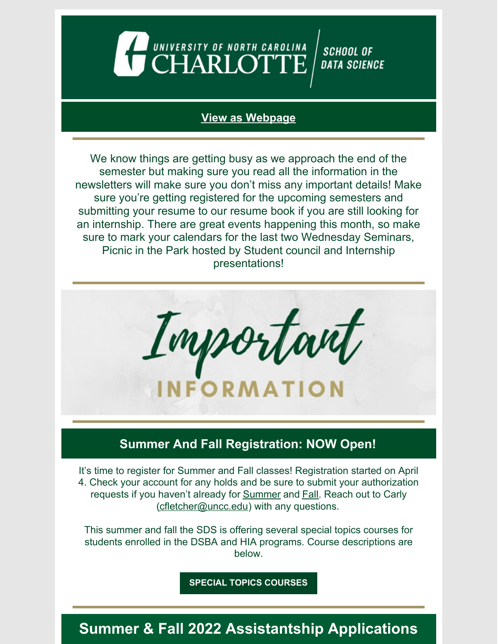

#### **View as [Webpage](https://campaignlp.constantcontact.com/em/1130527463971/3d72e6f3-9f76-4cf0-9009-323ad525e99c)**

We know things are getting busy as we approach the end of the semester but making sure you read all the information in the newsletters will make sure you don't miss any important details! Make sure you're getting registered for the upcoming semesters and submitting your resume to our resume book if you are still looking for an internship. There are great events happening this month, so make sure to mark your calendars for the last two Wednesday Seminars, Picnic in the Park hosted by Student council and Internship presentations!



### **Summer And Fall Registration: NOW Open!**

It's time to register for Summer and Fall classes! Registration started on April 4. Check your account for any holds and be sure to submit your authorization requests if you haven't already for **[Summer](https://forms.gle/SgyEBzSoeNf7MdCr6)** and **[Fall](https://forms.gle/XazuDcyi2TWT4RAm7).** Reach out to Carly [\(cfletcher@uncc.edu](mailto:cfletcher@uncc.edu)) with any questions.

This summer and fall the SDS is offering several special topics courses for students enrolled in the DSBA and HIA programs. Course descriptions are below.

**SPECIAL TOPICS [COURSES](https://docs.google.com/document/d/1ocrn89R6QvoVSFkTD1KWykcBnJvXiGO4uGemSriSlUU/edit?usp=sharing)**

# **Summer & Fall 2022 Assistantship Applications**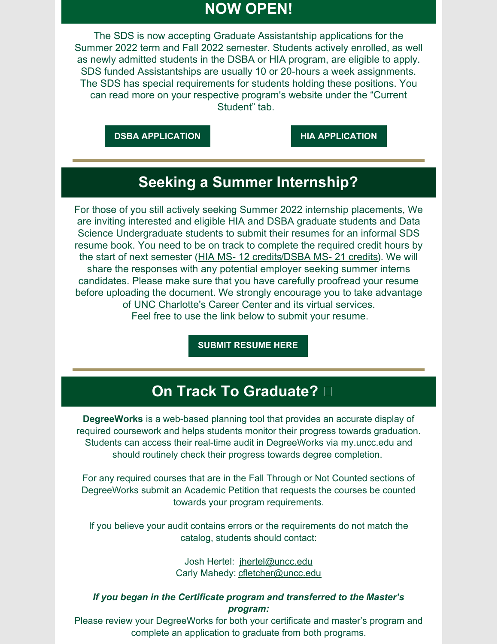### **NOW OPEN!**

The SDS is now accepting Graduate Assistantship applications for the Summer 2022 term and Fall 2022 semester. Students actively enrolled, as well as newly admitted students in the DSBA or HIA program, are eligible to apply. SDS funded Assistantships are usually 10 or 20-hours a week assignments. The SDS has special requirements for students holding these positions. You can read more on your respective program's website under the "Current Student" tab.

**DSBA [APPLICATION](https://dsba.charlotte.edu/current-students/graduate-assistantships) HIA [APPLICATION](https://hia.charlotte.edu/current-students/graduate-assistantships)**

### **Seeking a Summer Internship?**

For those of you still actively seeking Summer 2022 internship placements, We are inviting interested and eligible HIA and DSBA graduate students and Data Science Undergraduate students to submit their resumes for an informal SDS resume book. You need to be on track to complete the required credit hours by the start of next semester (HIA MS- 12 [credits](https://dsba.charlotte.edu/curriculum/internship)/DSBA MS- 21 credits). We will share the responses with any potential employer seeking summer interns candidates. Please make sure that you have carefully proofread your resume before uploading the document. We strongly encourage you to take advantage of UNC [Charlotte's](https://career.uncc.edu/) Career Center and its virtual services. Feel free to use the link below to submit your resume.

**SUBMIT [RESUME](https://docs.google.com/forms/d/e/1FAIpQLSd-3VGaHIQNb9Fw2_AgBWyAmK_YrPcIfWLHipIUZ5P7H9xKFw/viewform?usp=sf_linkYRDbhsv7oHQFM4Vw/viewform?usp=sf_link) HERE**

### **On Track To Graduate?**

**DegreeWorks** is a web-based planning tool that provides an accurate display of required coursework and helps students monitor their progress towards graduation. Students can access their real-time audit in DegreeWorks via [my.uncc.edu](http://my.uncc.edu/) and should routinely check their progress towards degree completion.

For any required courses that are in the Fall Through or Not Counted sections of DegreeWorks submit an Academic Petition that requests the courses be counted towards your program requirements.

If you believe your audit contains errors or the requirements do not match the catalog, students should contact:

> Josh Hertel: [jhertel@uncc.edu](mailto:jhertel@uncc.edu) Carly Mahedy: [cfletcher@uncc.edu](mailto:cfletcher@uncc.edu)

#### *If you began in the Certificate program and transferred to the Master's program:*

Please review your DegreeWorks for both your certificate and master's program and complete an application to graduate from both programs.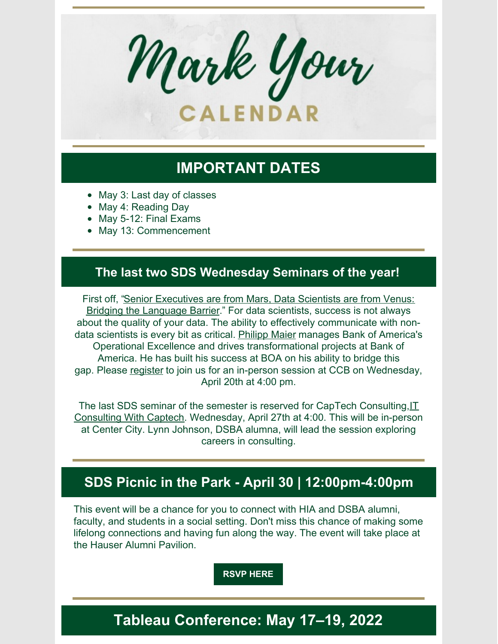

# **IMPORTANT DATES**

- May 3: Last day of classes
- May 4: Reading Day
- May 5-12: Final Exams
- May 13: Commencement

#### **The last two SDS Wednesday Seminars of the year!**

First off, "Senior [Executives](https://datascience.charlotte.edu/events/sds-wednesday-seminar-senior-executives-are-mars-data-scientists-are-venus-bridging-language) are from Mars, Data Scientists are from Venus: Bridging the Language Barrie[r.](https://datascience.charlotte.edu/events/sds-wednesday-seminar-senior-executives-are-mars-data-scientists-are-venus-bridging-language)" For data scientists, success is not always about the quality of your data. The ability to effectively communicate with non-data scientists is every bit as critical. [Philipp](https://www.linkedin.com/in/philipp-maier-6539665/) Maier manages Bank of America's Operational Excellence and drives transformational projects at Bank of America. He has built his success at BOA on his ability to bridge this gap. Please [register](https://www.eventbrite.com/e/sds-ws-senior-executives-are-from-mars-data-scientists-are-from-venus-tickets-290408629027) to join us for an in-person session at CCB on Wednesday, April 20th at 4:00 pm.

The last SDS seminar of the semester is reserved for CapTech [Consulting,IT](https://datascience.charlotte.edu/events/sds-wednesday-seminar-it-consulting-captech) Consulting With Captech. Wednesday, April 27th at 4:00. This will be in-person at Center City. Lynn Johnson, DSBA alumna, will lead the session exploring careers in consulting.

### **SDS Picnic in the Park - April 30 | 12:00pm-4:00pm**

This event will be a chance for you to connect with HIA and DSBA alumni, faculty, and students in a social setting. Don't miss this chance of making some lifelong connections and having fun along the way. The event will take place at the Hauser Alumni Pavilion.

**[RSVP](https://docs.google.com/forms/d/e/1FAIpQLScj6z9sICNNwe_rMamavbZOSWul44PyyOjEcFDufS7ZGyrfJg/viewform?usp=sf_link) HERE**

## **Tableau Conference: May 17–19, 2022**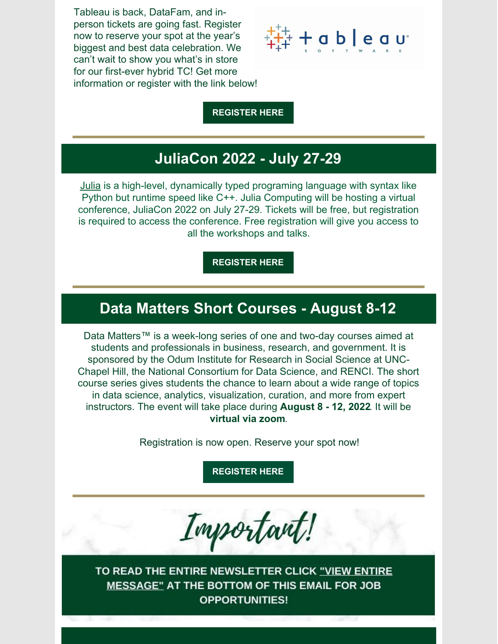Tableau is back, DataFam, and inperson tickets are going fast. Register now to reserve your spot at the year's biggest and best data celebration. We can't wait to show you what's in store for our first-ever hybrid TC! Get more information or register with the link below!



**[REGISTER](https://www.tableau.com/events/conference?utm_campaign=2021034_TC22_IHCON_USCA_en-US_2022-03-15_T2-Acq&utm_medium=Email&utm_source=Eloqua&domain=uncc.edu&eid=CTBLS000025277733&d=7013y000000vYh9&elqTrackId=ce32d26ab68a45fb923c6e8721cd5739&elq=287a8d0c877343258bb83f957c6738eb&elqaid=54584&elqat=1&elqCampaignId=53508) HERE**

## **JuliaCon 2022 - July 27-29**

[Julia](http://meet.meetup.com/ls/click?upn=yBf4llw5PeaY7leriFwBBmWcuPk6aqDTGHWHy5fiG5M-3DdKGl_Q3dI6rnbrm9ghvpxxp-2BMgVy1nvZrhvgv-2BRMOpTFdxYDnZKB-2FPOkpIZ07AK8k-2F-2FpWMiDAsOSxWIK2uiwkufT4XhTupdqSjJUlwSLgWD1Q1oxVAcr-2FgZFHViycWSLYDExX7ALNN5-2FL4lD154t-2BwPqMup9b5bI22FH81oA-2BCa1ulSMHIpXOoXMcNoGRSvnAsmHLAptuD6m9EElmXSR-2FvROIAfMGc6OGzX5CZJY4JkWFzLdiqFoy-2B1xCY7aawnk4A8s9) is a high-level, dynamically typed programing language with syntax like Python but runtime speed like C++. Julia Computing will be hosting a virtual conference, JuliaCon 2022 on July 27-29. Tickets will be free, but registration is required to access the conference. Free registration will give you access to all the workshops and talks.

**[REGISTER](https://juliacon.org/2022/tickets/) HERE**

### **Data Matters Short Courses - August 8-12**

Data Matters™ is a week-long series of one and two-day courses aimed at students and professionals in business, research, and government. It is sponsored by the Odum Institute for Research in Social Science at UNC-Chapel Hill, the National Consortium for Data Science, and RENCI. The short course series gives students the chance to learn about a wide range of topics in data science, analytics, visualization, curation, and more from expert instructors. The event will take place during **August 8 - 12, 2022**. It will be **virtual via zoom**.

Registration is now open. Reserve your spot now!

**[REGISTER](https://datamatters.org/) HERE**



TO READ THE ENTIRE NEWSLETTER CLICK <u>"VIEW ENTIRE</u> **MESSAGE" AT THE BOTTOM OF THIS EMAIL FOR JOB OPPORTUNITIES!**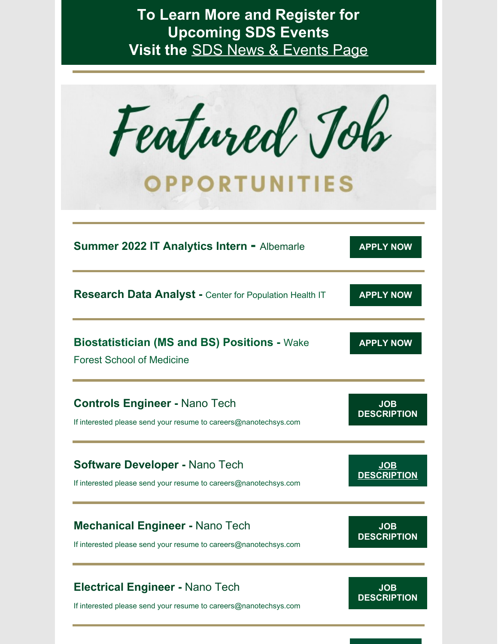# **To Learn More and Register for Upcoming SDS Events Visit the** SDS News & [Events](https://datascience.charlotte.edu/recent-news) Page

| Featured Joh<br><b>OPPORTUNITIES</b>                                                    |                    |
|-----------------------------------------------------------------------------------------|--------------------|
| <b>Summer 2022 IT Analytics Intern - Albemarle</b>                                      | <b>APPLY NOW</b>   |
| Research Data Analyst - Center for Population Health IT                                 | <b>APPLY NOW</b>   |
| <b>Biostatistician (MS and BS) Positions - Wake</b><br><b>Forest School of Medicine</b> | <b>APPLY NOW</b>   |
| <b>Controls Engineer - Nano Tech</b>                                                    | <b>JOB</b>         |
| If interested please send your resume to careers@nanotechsys.com                        | <b>DESCRIPTION</b> |
| <b>Software Developer - Nano Tech</b>                                                   | <b>JOB</b>         |
| If interested please send your resume to careers@nanotechsys.com                        | <b>DESCRIPTION</b> |
| <b>Mechanical Engineer - Nano Tech</b>                                                  | <b>JOB</b>         |
| If interested please send your resume to careers@nanotechsys.com                        | <b>DESCRIPTION</b> |
| <b>Electrical Engineer - Nano Tech</b>                                                  | <b>JOB</b>         |
| If interested please send your resume to careers@nanotechsys.com                        | <b>DESCRIPTION</b> |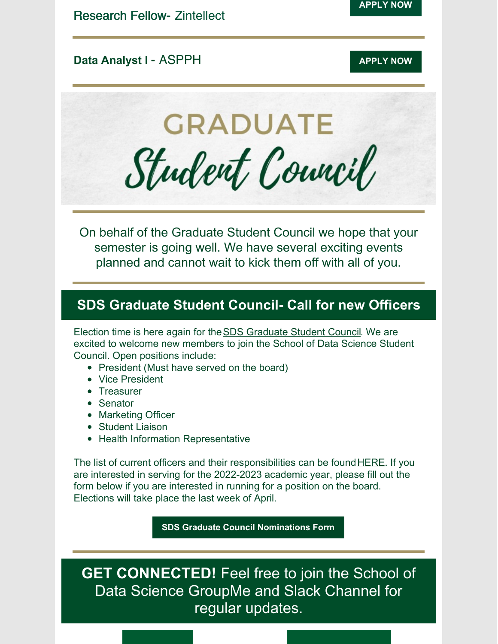### **Data Analyst I** - ASPPH **[APPLY](https://publichealthjobs.org/job/association-of-schools-and-programs-of-public-health-metro-washington-dc-area-preferred-aspph-functions-as-a-hybrid-office-full-time-remote-possible-from-ga-ma-md-mn-nc-tx-wa-va-6-data-ana/) APPLY** NOW

**GRADUATE** Student Council

On behalf of the Graduate Student Council we hope that your semester is going well. We have several exciting events planned and cannot wait to kick them off with all of you.

### **SDS Graduate Student Council- Call for new Officers**

Election time is here again for theSDS [Graduate](https://datascience.charlotte.edu/about-us/student-council) Student Council. We are excited to welcome new members to join the School of Data Science Student Council. Open positions include:

- President (Must have served on the board)
- Vice President
- **•** Treasurer
- Senator
- Marketing Officer
- Student Liaison
- Health Information Representative

The list of current officers and their responsibilities can be found **[HERE](https://datascience.charlotte.edu/about-us/student-council/student-council-officers)**. If you are interested in serving for the 2022-2023 academic year, please fill out the form below if you are interested in running for a position on the board. Elections will take place the last week of April.

**SDS Graduate Council [Nominations](https://docs.google.com/forms/d/1njLJzplTTh4fze5hXojEFE8fweASeLoGWBZmGaKcJ8Y/edit?usp=sharing) Form**

**GET CONNECTED!** Feel free to join the School of Data Science GroupMe and Slack Channel for regular updates.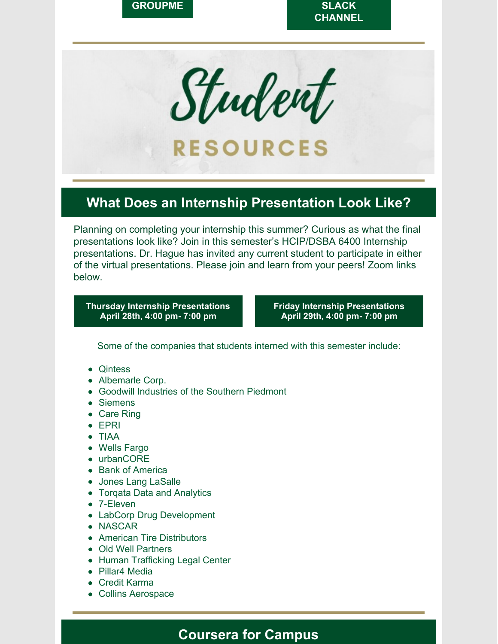

Student **RESOURCES** 

### **What Does an Internship Presentation Look Like?**

Planning on completing your internship this summer? Curious as what the final presentations look like? Join in this semester's HCIP/DSBA 6400 Internship presentations. Dr. Hague has invited any current student to participate in either of the virtual presentations. Please join and learn from your peers! Zoom links below.

**Thursday Internship [Presentations](https://uncc.zoom.us/j/91950070897?pwd=L2JLTjVqUFJuWU42WFlUcGs1STNTdz09) April 28th, 4:00 pm- 7:00 pm**

**Friday Internship [Presentations](https://uncc.zoom.us/j/91965879882?pwd=UTAxbklhZ2tkMkNvaHIwdi9RQkppQT09) April 29th, 4:00 pm- 7:00 pm**

Some of the companies that students interned with this semester include:

- Qintess
- Albemarle Corp.
- Goodwill Industries of the Southern Piedmont
- Siemens
- Care Ring
- EPRI
- TIAA
- Wells Fargo
- urbanCORE
- Bank of America
- Jones Lang LaSalle
- Torqata Data and Analytics
- 7-Eleven
- LabCorp Drug Development
- NASCAR
- American Tire Distributors
- Old Well Partners
- Human Trafficking Legal Center
- Pillar4 Media
- Credit Karma
- Collins Aerospace

#### **Coursera for Campus**